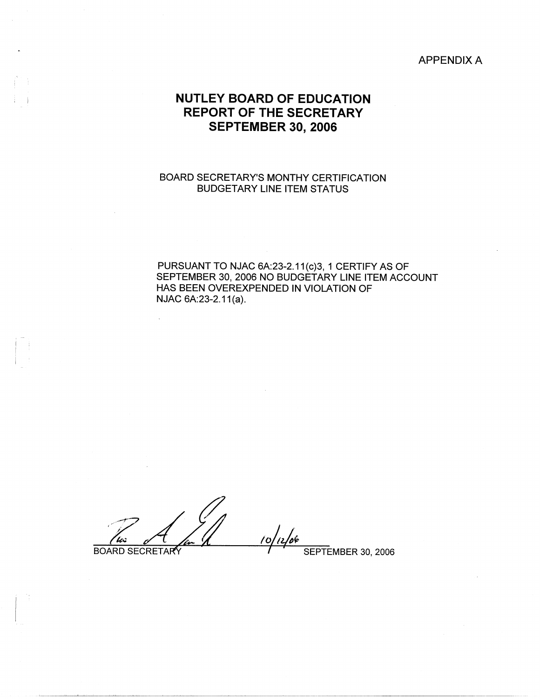APPENDIX A

# **NUTLEY BOARD OF EDUCATION REPORT OF THE SECRETARY SEPTEMBER 30, 2006**

# BOARD SECRETARY'S MONTHY CERTIFICATION BUDGETARY LINE ITEM STATUS

PURSUANT TO NJAC 6A:23-2.11(c)3, 1 CERTIFY AS OF SEPTEMBER 30, 2006 NO BUDGETARY LINE ITEM ACCOUNT HAS BEEN OVEREXPENDED IN VIOLATION OF NJAC 6A:23-2.11(a).

 $\frac{1}{\frac{1}{100}}$  BOARD SECRETARY

I :

I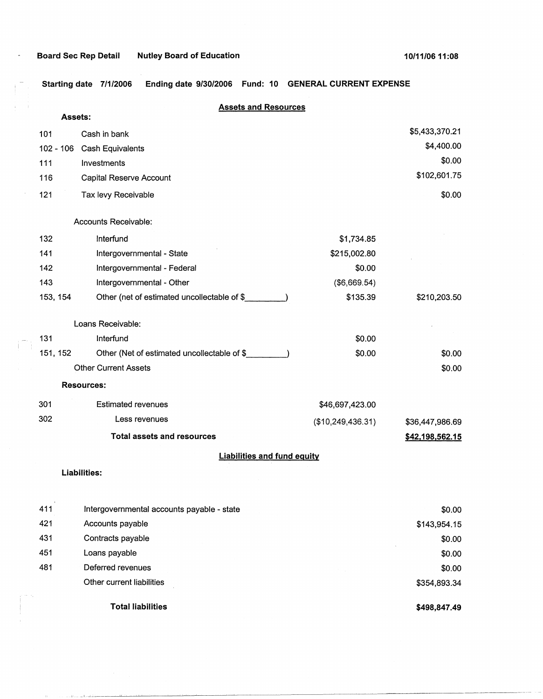## **Board Sec Rep Detail Mutley Board of Education 10/11/06 11:08 11:08 11:08**

 $\overline{a}$ 

 $\left\{ \begin{array}{c} 0 \\ 0 \end{array} \right\}$ 

**Starting date 7/1/2006 Ending date 9/30/2006 Fund: 10 GENERAL CURRENT EXPENSE** 

#### **Assets and Resources**

| Assets:     |                                             |                   |                 |
|-------------|---------------------------------------------|-------------------|-----------------|
| 101         | Cash in bank                                |                   | \$5,433,370.21  |
| $102 - 106$ | Cash Equivalents                            |                   | \$4,400.00      |
| 111         | Investments                                 |                   | \$0.00          |
| 116         | Capital Reserve Account                     |                   | \$102,601.75    |
| 121         | Tax levy Receivable                         |                   | \$0.00          |
|             | Accounts Receivable:                        |                   |                 |
| 132         | Interfund                                   | \$1,734.85        |                 |
| 141         | Intergovernmental - State                   | \$215,002.80      |                 |
| 142         | Intergovernmental - Federal                 | \$0.00            |                 |
| 143         | Intergovernmental - Other                   | (\$6,669.54)      |                 |
| 153, 154    | Other (net of estimated uncollectable of \$ | \$135.39          | \$210,203.50    |
|             | Loans Receivable:                           |                   |                 |
| 131         | Interfund                                   | \$0.00            |                 |
| 151, 152    | Other (Net of estimated uncollectable of \$ | \$0.00            | \$0.00          |
|             | <b>Other Current Assets</b>                 |                   | \$0.00          |
|             | <b>Resources:</b>                           |                   |                 |
| 301         | <b>Estimated revenues</b>                   | \$46,697,423.00   |                 |
| 302         | Less revenues                               | (\$10,249,436.31) | \$36,447,986.69 |
|             | <b>Total assets and resources</b>           |                   | \$42,198,562.15 |
|             | <b>Liabilities and fund equity</b>          |                   |                 |
|             | Liabilities:                                |                   |                 |
| 411         | Intergovernmental accounts payable - state  |                   | \$0.00          |
| 421         | Accounts payable                            |                   | \$143,954.15    |
| 431         | Contracts payable                           |                   | \$0.00          |
| 451         | Loans payable                               |                   | \$0.00          |
| 481         | Deferred revenues                           |                   | \$0.00          |
|             | Other current liabilities                   |                   | \$354,893.34    |
|             | <b>Total liabilities</b>                    |                   | \$498,847.49    |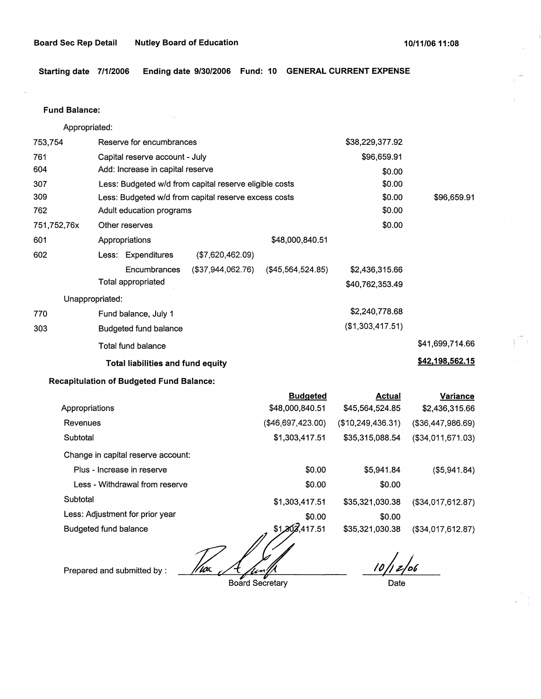**Starting date 7/1/2006 Ending date 9/30/2006 Fund: 10 GENERAL CURRENT EXPENSE** 

Fund **Balance:** 

753,754 761 604 Appropriated: Reserve for encumbrances Capital reserve account - July Add: Increase in capital reserve 307 309 762 751,752,76x 601 Less: Budgeted w/d from capital reserve eligible costs Less: Budgeted w/d from capital reserve excess costs Adult education programs 602 770 **303**  Other reserves Appropriations \$48,000,840.51 Less: Expenditures (\$7,620,462.09) Encumbrances (\$37,944,062.76) (\$45,564,524.85) Total appropriated Unappropriated: Fund balance, July 1 Budgeted fund balance Total fund balance **Total liabilities and fund equity**  \$38,229,377.92 \$96,659.91 \$0.00 \$0.00 \$0.00 \$0.00 \$0.00 \$2,436,315.66 \$40,762,353.49 \$2,240,778.68 (\$1,303,417.51) \$96,659.91 \$41,699,714.66 **\$42.198.562.15** 

#### **Recapitulation of Budgeted Fund Balance:**

|                                    | <b>Budgeted</b>   | Actual            | Variance          |
|------------------------------------|-------------------|-------------------|-------------------|
| Appropriations                     | \$48,000,840.51   | \$45,564,524,85   | \$2,436,315.66    |
| Revenues                           | (\$46,697,423.00) | (\$10,249,436.31) | (\$36,447,986.69) |
| Subtotal                           | \$1,303,417.51    | \$35,315,088.54   | (\$34,011,671.03) |
| Change in capital reserve account: |                   |                   |                   |
| Plus - Increase in reserve         | \$0.00            | \$5.941.84        | (\$5,941.84)      |
| Less - Withdrawal from reserve     | \$0.00            | \$0.00            |                   |
| Subtotal                           | \$1,303,417.51    | \$35,321,030.38   | (\$34,017,612.87) |
| Less: Adjustment for prior year    | \$0.00            | \$0.00            |                   |
| Budgeted fund balance              | \$1,202,417.51    | \$35,321,030.38   | (\$34,017,612.87) |

17ac

Prepared and submitted by :

Board Secretary

*/Djt&-fol* .

Date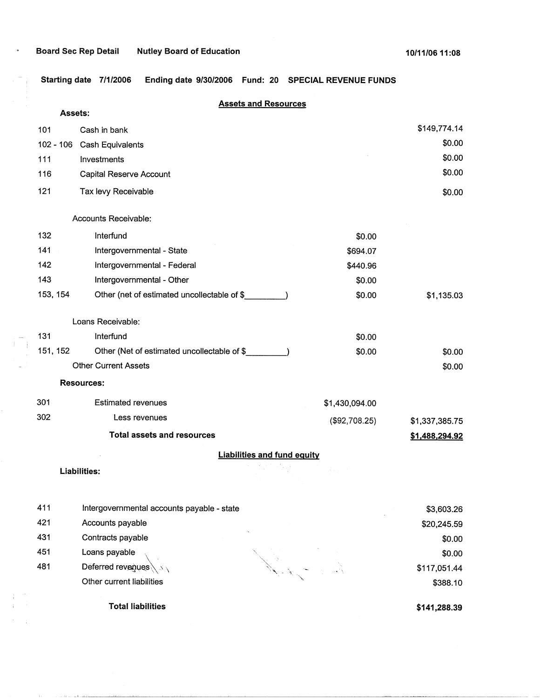$\ddot{\phantom{a}}$ 

**Starting date 7/1/2006 Ending date 9/30/2006 Fund: 20 SPECIAL REVENUE FUNDS** 

| Assets:     |                                             | <b>Assets and Resources</b>        |                |
|-------------|---------------------------------------------|------------------------------------|----------------|
| 101         | Cash in bank                                |                                    | \$149,774.14   |
| $102 - 106$ | Cash Equivalents                            |                                    | \$0.00         |
| 111         | Investments                                 |                                    | \$0.00         |
| 116         | Capital Reserve Account                     |                                    | \$0.00         |
| 121         | Tax levy Receivable                         |                                    | \$0.00         |
|             | Accounts Receivable:                        |                                    |                |
| 132         | Interfund                                   | \$0.00                             |                |
| 141         | Intergovernmental - State                   | \$694.07                           |                |
| 142         | Intergovernmental - Federal                 | \$440.96                           |                |
| 143         | Intergovernmental - Other                   | \$0.00                             |                |
| 153, 154    | Other (net of estimated uncollectable of \$ | \$0.00                             | \$1,135.03     |
|             | Loans Receivable:                           |                                    |                |
| 131         | Interfund                                   | \$0.00                             |                |
| 151, 152    | Other (Net of estimated uncollectable of \$ | \$0.00                             | \$0.00         |
|             | <b>Other Current Assets</b>                 |                                    | \$0.00         |
|             | <b>Resources:</b>                           |                                    |                |
| 301         | <b>Estimated revenues</b>                   | \$1,430,094.00                     |                |
| 302         | Less revenues                               | (\$92,708.25)                      | \$1,337,385.75 |
|             | <b>Total assets and resources</b>           |                                    | \$1,488,294.92 |
|             |                                             | <b>Liabilities and fund equity</b> |                |
|             | Liabilities:                                |                                    |                |
| 411         | Intergovernmental accounts payable - state  |                                    | \$3,603.26     |
| 421         | Accounts payable                            |                                    | \$20,245.59    |
| 431         | Contracts payable                           |                                    | \$0.00         |
| 451         | Loans payable                               |                                    | \$0.00         |
| 481         | Deferred revenues                           |                                    | \$117,051.44   |
|             | Other current liabilities                   |                                    | \$388.10       |

**Total liabilities** 

 $\Gamma(\tau) = \tau(\tau)$  , and  $\Gamma$  is<br>not defined in

**\$141,288.39**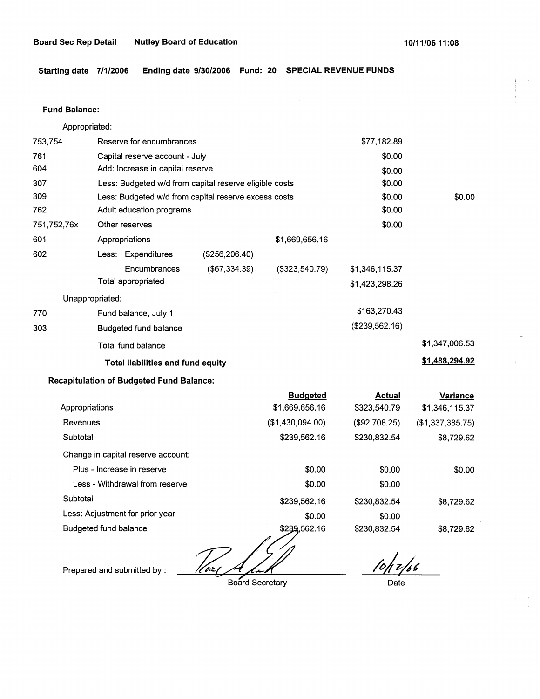**Starting date 7/1/2006 Ending date 9/30/2006 Fund: 20 SPECIAL REVENUE FUNDS** 

#### **Fund Balance:**

Appropriated:

| 753,754         | Reserve for encumbrances                 |                                                        |                | \$77,182.89    |                |
|-----------------|------------------------------------------|--------------------------------------------------------|----------------|----------------|----------------|
| 761             | Capital reserve account - July           |                                                        |                | \$0.00         |                |
| 604             | Add: Increase in capital reserve         |                                                        |                | \$0.00         |                |
| 307             |                                          | Less: Budgeted w/d from capital reserve eligible costs |                | \$0.00         |                |
| 309             |                                          | Less: Budgeted w/d from capital reserve excess costs   |                | \$0.00         | \$0.00         |
| 762             | Adult education programs                 |                                                        |                | \$0.00         |                |
| 751,752,76x     | Other reserves                           |                                                        |                | \$0.00         |                |
| 601             | Appropriations                           |                                                        | \$1,669,656.16 |                |                |
| 602             | Less: Expenditures                       | (\$256, 206.40)                                        |                |                |                |
|                 | Encumbrances                             | (\$67,334.39)                                          | (\$323,540.79) | \$1,346,115.37 |                |
|                 | Total appropriated                       |                                                        |                | \$1,423,298.26 |                |
| Unappropriated: |                                          |                                                        |                |                |                |
| 770             | Fund balance, July 1                     |                                                        |                | \$163,270.43   |                |
| 303             | Budgeted fund balance                    |                                                        |                | (\$239,562.16) |                |
|                 | Total fund balance                       |                                                        |                |                | \$1,347,006.53 |
|                 | <b>Total liabilities and fund equity</b> |                                                        |                |                | \$1,488,294.92 |

## **Recapitulation of Budgeted Fund Balance:**

|                                    | <b>Budgeted</b>  | <b>Actual</b> | Variance         |
|------------------------------------|------------------|---------------|------------------|
| Appropriations                     | \$1,669,656.16   | \$323,540.79  | \$1,346,115.37   |
| Revenues                           | (\$1,430,094.00) | (\$92,708.25) | (\$1,337,385.75) |
| Subtotal                           | \$239,562.16     | \$230,832.54  | \$8,729.62       |
| Change in capital reserve account: |                  |               |                  |
| Plus - Increase in reserve         | \$0.00           | \$0.00        | \$0.00           |
| Less - Withdrawal from reserve     | \$0.00           | \$0.00        |                  |
| Subtotal                           | \$239,562.16     | \$230,832.54  | \$8,729.62       |
| Less: Adjustment for prior year    | \$0.00           | \$0.00        |                  |
| <b>Budgeted fund balance</b>       | \$239,562.16     | \$230,832.54  | \$8,729.62       |

 $\ell$ tüz f

Prepared and submitted by :

Board Secretary

10/12/06

Date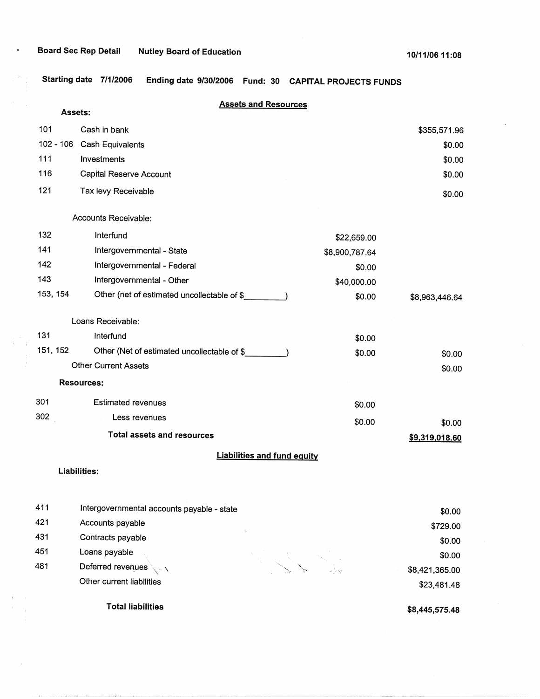**Starting date 7/1/2006 Ending date 9/30/2006 Fund: 30 CAPITAL PROJECTS FUNDS** 

|           | Assets:                                     | <b>Assets and Resources</b>        |                |                |
|-----------|---------------------------------------------|------------------------------------|----------------|----------------|
| 101       | Cash in bank                                |                                    |                | \$355,571.96   |
| 102 - 106 | Cash Equivalents                            |                                    |                | \$0.00         |
| 111       | Investments                                 |                                    |                | \$0.00         |
| 116       | Capital Reserve Account                     |                                    |                | \$0.00         |
| 121       | Tax levy Receivable                         |                                    |                | \$0.00         |
|           | Accounts Receivable:                        |                                    |                |                |
| 132       | Interfund                                   |                                    | \$22,659.00    |                |
| 141       | Intergovernmental - State                   |                                    | \$8,900,787.64 |                |
| 142       | Intergovernmental - Federal                 |                                    | \$0.00         |                |
| 143       | Intergovernmental - Other                   |                                    | \$40,000.00    |                |
| 153, 154  | Other (net of estimated uncollectable of \$ |                                    | \$0.00         | \$8,963,446.64 |
|           | Loans Receivable:                           |                                    |                |                |
| 131       | Interfund                                   |                                    | \$0.00         |                |
| 151, 152  | Other (Net of estimated uncollectable of \$ |                                    | \$0.00         | \$0.00         |
|           | <b>Other Current Assets</b>                 |                                    |                | \$0.00         |
|           | <b>Resources:</b>                           |                                    |                |                |
| 301       | <b>Estimated revenues</b>                   |                                    | \$0.00         |                |
| 302       | Less revenues                               |                                    | \$0.00         | \$0.00         |
|           | <b>Total assets and resources</b>           |                                    |                | \$9,319,018.60 |
|           |                                             | <b>Liabilities and fund equity</b> |                |                |
|           | Liabilities:                                |                                    |                |                |
| 411       | Intergovernmental accounts payable - state  |                                    |                | \$0.00         |
| 421       | Accounts payable                            |                                    |                | \$729.00       |
| 431       | Contracts payable                           |                                    |                | \$0.00         |
| 451       | Loans payable                               |                                    |                | \$0.00         |
| 481       | Deferred revenues<br>$\sim$ $\sim$          |                                    |                | \$8,421,365.00 |

481 Deferred revenues  $\searrow$ Other current liabilities

 $\pm$ 

**\$8,445,575.48** 

\$8,421,365.00 \$23,481.48

**Total liabilities**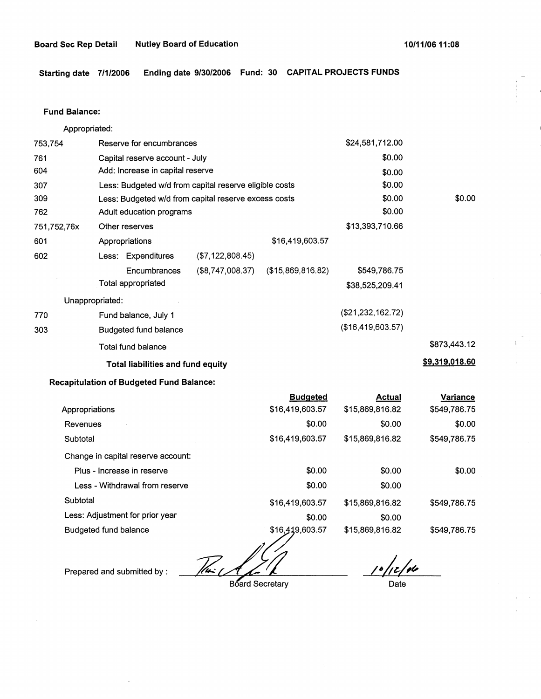**Starting date 7/1/2006 Ending date 9/30/2006 Fund: 30 CAPITAL PROJECTS FUNDS** 

#### **Fund Balance:**

Appropriated:

| 753,754         | Reserve for encumbrances                 |                                                        |                   | \$24,581,712.00   |                |
|-----------------|------------------------------------------|--------------------------------------------------------|-------------------|-------------------|----------------|
| 761             | Capital reserve account - July           |                                                        |                   | \$0.00            |                |
| 604             | Add: Increase in capital reserve         |                                                        |                   | \$0.00            |                |
| 307             |                                          | Less: Budgeted w/d from capital reserve eligible costs |                   | \$0.00            |                |
| 309             |                                          | Less: Budgeted w/d from capital reserve excess costs   |                   | \$0.00            | \$0.00         |
| 762             | Adult education programs                 |                                                        |                   | \$0.00            |                |
| 751,752,76x     | Other reserves                           |                                                        |                   | \$13,393,710.66   |                |
| 601             | Appropriations                           |                                                        | \$16,419,603.57   |                   |                |
| 602             | Less: Expenditures                       | $($ \$7,122,808.45)                                    |                   |                   |                |
|                 | Encumbrances                             | $(\$8,747,008.37)$                                     | (\$15,869,816.82) | \$549,786.75      |                |
|                 | Total appropriated                       |                                                        |                   | \$38,525,209.41   |                |
| Unappropriated: |                                          |                                                        |                   |                   |                |
| 770             | Fund balance, July 1                     |                                                        |                   | (\$21,232,162.72) |                |
| 303             | Budgeted fund balance                    |                                                        |                   | (\$16,419,603.57) |                |
|                 | Total fund balance                       |                                                        |                   |                   | \$873,443.12   |
|                 | <b>Total liabilities and fund equity</b> |                                                        |                   |                   | \$9,319,018.60 |
|                 |                                          |                                                        |                   |                   |                |

## **Recapitulation of Budgeted Fund Balance:**

| <b>Budgeted</b> | <b>Actual</b>   | Variance     |
|-----------------|-----------------|--------------|
| \$16,419,603.57 | \$15,869,816.82 | \$549,786.75 |
| \$0.00          | \$0.00          | \$0.00       |
| \$16,419,603.57 | \$15,869,816.82 | \$549,786.75 |
|                 |                 |              |
| \$0.00          | \$0.00          | \$0.00       |
| \$0.00          | \$0.00          |              |
| \$16,419,603.57 | \$15,869,816.82 | \$549.786.75 |
| \$0.00          | \$0.00          |              |
| \$16,419,603.57 | \$15,869,816.82 | \$549,786.75 |
|                 |                 |              |

 $\sqrt{m}$ 

Prepared and submitted by :

 $10/12/10$ 

Date

**Board Secretary**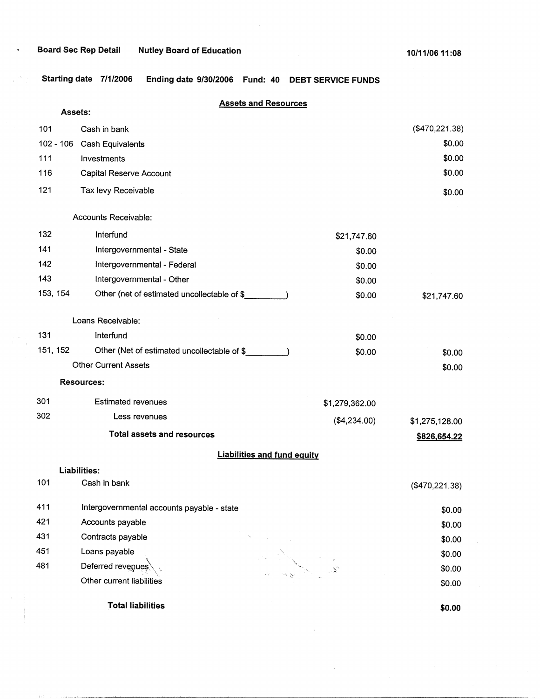$\alpha$  , and the set of the final contraction of  $\alpha$ 

**Starting date 7/1/2006 Ending date 9/30/2006 Fund: 40 DEBT SERVICE FUNDS** 

|           | Assets:                                    | <b>Assets and Resources</b>                 |                |                |
|-----------|--------------------------------------------|---------------------------------------------|----------------|----------------|
| 101       | Cash in bank                               |                                             |                | (\$470,221.38) |
| 102 - 106 | <b>Cash Equivalents</b>                    |                                             |                | \$0.00         |
| 111       | Investments                                |                                             |                | \$0.00         |
| 116       | Capital Reserve Account                    |                                             |                | \$0.00         |
| 121       | Tax levy Receivable                        |                                             |                | \$0.00         |
|           | Accounts Receivable:                       |                                             |                |                |
| 132       | Interfund                                  |                                             | \$21,747.60    |                |
| 141       | Intergovernmental - State                  |                                             | \$0.00         |                |
| 142       | Intergovernmental - Federal                |                                             | \$0.00         |                |
| 143       | Intergovernmental - Other                  |                                             | \$0.00         |                |
| 153, 154  |                                            | Other (net of estimated uncollectable of \$ | \$0.00         | \$21,747.60    |
|           | Loans Receivable:                          |                                             |                |                |
| 131       | Interfund                                  |                                             | \$0.00         |                |
| 151, 152  |                                            | Other (Net of estimated uncollectable of \$ | \$0.00         | \$0.00         |
|           | <b>Other Current Assets</b>                |                                             |                | \$0.00         |
|           | <b>Resources:</b>                          |                                             |                |                |
| 301       | <b>Estimated revenues</b>                  |                                             | \$1,279,362.00 |                |
| 302       | Less revenues                              |                                             | (\$4,234.00)   | \$1,275,128.00 |
|           | <b>Total assets and resources</b>          |                                             |                | \$826,654.22   |
|           |                                            | <b>Liabilities and fund equity</b>          |                |                |
|           | Liabilities:                               |                                             |                |                |
| 101       | Cash in bank                               |                                             |                | (\$470,221.38) |
| 411       | Intergovernmental accounts payable - state |                                             |                | \$0.00         |
| 421       | Accounts payable                           |                                             |                | \$0.00         |
| 431       | Contracts payable                          |                                             |                | \$0.00         |
| 451       | Loans payable                              |                                             |                | \$0.00         |
| 481       | Deferred revenues                          |                                             |                | \$0.00         |
|           | Other current liabilities                  |                                             |                | \$0.00         |
|           | <b>Total liabilities</b>                   |                                             |                | \$0.00         |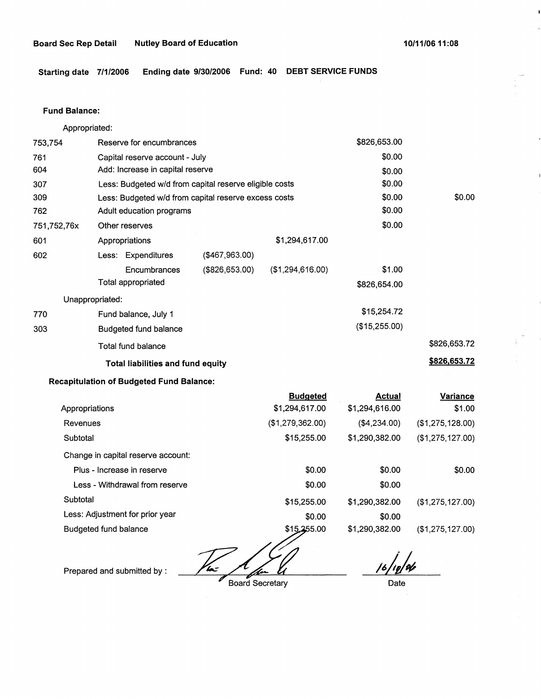**Starting date 7/1/2006 Ending date 9/30/2006 Fund: 40 DEBT SERVICE FUNDS** 

## **Fund Balance:**

Appropriated:

| 753,754         | Reserve for encumbrances                               |                |                  | \$826,653.00  |              |
|-----------------|--------------------------------------------------------|----------------|------------------|---------------|--------------|
| 761             | Capital reserve account - July                         |                |                  | \$0.00        |              |
| 604             | Add: Increase in capital reserve                       |                |                  | \$0.00        |              |
| 307             | Less: Budgeted w/d from capital reserve eligible costs |                |                  | \$0.00        |              |
| 309             | Less: Budgeted w/d from capital reserve excess costs   |                |                  | \$0.00        | \$0.00       |
| 762             | Adult education programs                               |                |                  | \$0.00        |              |
| 751,752,76x     | Other reserves                                         |                |                  | \$0.00        |              |
| 601             | Appropriations                                         |                | \$1,294,617.00   |               |              |
| 602             | Less: Expenditures                                     | (\$467,963.00) |                  |               |              |
|                 | Encumbrances                                           | (\$826,653.00) | (\$1,294,616.00) | \$1.00        |              |
|                 | Total appropriated                                     |                |                  | \$826,654.00  |              |
| Unappropriated: |                                                        |                |                  |               |              |
| 770             | Fund balance, July 1                                   |                |                  | \$15,254.72   |              |
| 303             | Budgeted fund balance                                  |                |                  | (\$15,255.00) |              |
|                 | Total fund balance                                     |                |                  |               | \$826,653.72 |
|                 | <b>Total liabilities and fund equity</b>               |                |                  |               | \$826,653.72 |

## **Recapitulation of Budgeted Fund Balance:**

| <b>Budgeted</b>  | Actual         | <b>Variance</b>  |
|------------------|----------------|------------------|
| \$1,294,617.00   | \$1,294,616.00 | \$1.00           |
| (\$1,279,362.00) | (\$4,234.00)   | (\$1,275,128.00) |
| \$15,255.00      | \$1,290,382.00 | (\$1,275,127.00) |
|                  |                |                  |
| \$0.00           | \$0.00         | \$0.00           |
| \$0.00           | \$0.00         |                  |
| \$15,255.00      | \$1,290,382.00 | (\$1,275,127.00) |
| \$0.00           | \$0.00         |                  |
| \$15,255.00      | \$1,290,382.00 | (\$1,275,127.00) |
|                  |                |                  |

'b= T

Prepared and submitted by :

Board Secretary

*/6j,/4* 

Date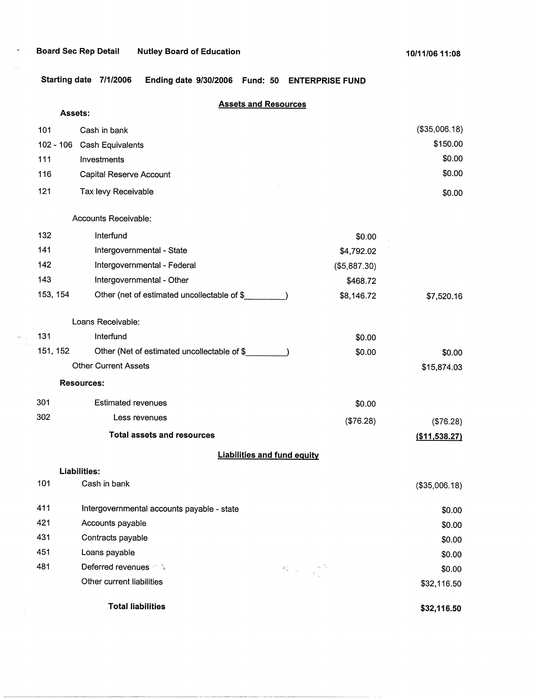$\mathcal{A}$ 

**Starting date 7/1/2006 Ending date 9/30/2006 Fund: 50 ENTERPRISE FUND** 

# **Assets and Resources**

| <b>Assets:</b> |                                             |                                                                                                                                                                        |               |
|----------------|---------------------------------------------|------------------------------------------------------------------------------------------------------------------------------------------------------------------------|---------------|
| 101            | Cash in bank                                |                                                                                                                                                                        | (\$35,006.18) |
| $102 - 106$    | <b>Cash Equivalents</b>                     |                                                                                                                                                                        | \$150.00      |
| 111            | Investments                                 |                                                                                                                                                                        | \$0.00        |
| 116            | Capital Reserve Account                     |                                                                                                                                                                        | \$0.00        |
| 121            | Tax levy Receivable                         |                                                                                                                                                                        | \$0.00        |
|                | Accounts Receivable:                        |                                                                                                                                                                        |               |
| 132            | Interfund                                   | \$0.00                                                                                                                                                                 |               |
| 141            | Intergovernmental - State                   | \$4,792.02                                                                                                                                                             |               |
| 142            | Intergovernmental - Federal                 | (\$5,887.30)                                                                                                                                                           |               |
| 143            | Intergovernmental - Other                   | \$468.72                                                                                                                                                               |               |
| 153, 154       | Other (net of estimated uncollectable of \$ | \$8,146.72                                                                                                                                                             | \$7,520.16    |
|                | Loans Receivable:                           |                                                                                                                                                                        |               |
| 131            | Interfund                                   | \$0.00                                                                                                                                                                 |               |
| 151, 152       | Other (Net of estimated uncollectable of \$ | \$0.00                                                                                                                                                                 | \$0.00        |
|                | <b>Other Current Assets</b>                 |                                                                                                                                                                        | \$15,874.03   |
|                | <b>Resources:</b>                           |                                                                                                                                                                        |               |
| 301            | <b>Estimated revenues</b>                   | \$0.00                                                                                                                                                                 |               |
| 302            | Less revenues                               | (\$76.28)                                                                                                                                                              | (\$76.28)     |
|                | <b>Total assets and resources</b>           |                                                                                                                                                                        | (\$11,538.27) |
|                | <b>Liabilities and fund equity</b>          |                                                                                                                                                                        |               |
|                | <b>Liabilities:</b>                         |                                                                                                                                                                        |               |
| 101            | Cash in bank                                |                                                                                                                                                                        | (\$35,006.18) |
| 411            | Intergovernmental accounts payable - state  |                                                                                                                                                                        | \$0.00        |
| 421            | Accounts payable                            |                                                                                                                                                                        | \$0.00        |
| 431            | Contracts payable                           |                                                                                                                                                                        | \$0.00        |
| 451            | Loans payable                               |                                                                                                                                                                        | \$0.00        |
| 481            | Deferred revenues And                       | $\sum_{j=1}^N \frac{1}{\lambda_j} \left( \frac{1}{\lambda_j} \right)^j \leq \frac{1}{\lambda_j} \sum_{j=1}^N \frac{1}{\lambda_j} \left( \frac{1}{\lambda_j} \right)^j$ | \$0.00        |
|                | Other current liabilities                   |                                                                                                                                                                        | \$32,116.50   |
|                | <b>Total liabilities</b>                    |                                                                                                                                                                        | \$32,116.50   |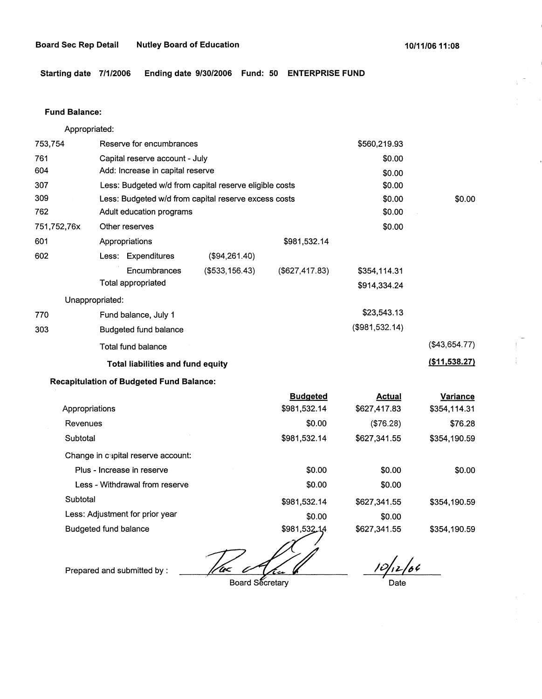**Starting date 7/1/2006 Ending date 9/30/2006 Fund: 50 ENTERPRISE FUND** 

#### **Fund Balance:**

Appropriated:

|             | <b>Recapitulation of Budgeted Fund Balance:</b>        |                 |                |                |               |
|-------------|--------------------------------------------------------|-----------------|----------------|----------------|---------------|
|             | <b>Total liabilities and fund equity</b>               |                 |                |                | (\$11,538.27) |
|             | Total fund balance                                     |                 |                |                | (\$43,654.77) |
| 303         | <b>Budgeted fund balance</b>                           |                 |                | (\$981,532.14) |               |
| 770         | Fund balance, July 1                                   |                 |                | \$23,543.13    |               |
|             | Unappropriated:                                        |                 |                |                |               |
|             | Total appropriated                                     |                 |                | \$914,334.24   |               |
|             | Encumbrances                                           | (\$533, 156.43) | (\$627,417.83) | \$354,114.31   |               |
| 602         | Less: Expenditures                                     | (\$94,261.40)   |                |                |               |
| 601         | Appropriations                                         |                 | \$981,532.14   |                |               |
| 751,752,76x | Other reserves                                         |                 |                | \$0.00         |               |
| 762         | Adult education programs                               |                 | \$0.00         |                |               |
| 309         | Less: Budgeted w/d from capital reserve excess costs   |                 | \$0.00         | \$0.00         |               |
| 307         | Less: Budgeted w/d from capital reserve eligible costs |                 | \$0.00         |                |               |
| 604         | Add: Increase in capital reserve                       |                 | \$0.00         |                |               |
| 761         | Capital reserve account - July                         |                 | \$0.00         |                |               |
| 753,754     | Reserve for encumbrances                               |                 | \$560,219.93   |                |               |

|                                    | <b>Budgeted</b>     | <b>Actual</b> | Variance     |
|------------------------------------|---------------------|---------------|--------------|
| Appropriations                     | \$981,532.14        | \$627,417.83  | \$354,114.31 |
| Revenues                           | \$0.00              | (\$76.28)     | \$76.28      |
| Subtotal                           | \$981,532.14        | \$627,341.55  | \$354,190.59 |
| Change in capital reserve account: |                     |               |              |
| Plus - Increase in reserve         | \$0.00              | \$0.00        | \$0.00       |
| Less - Withdrawal from reserve     | \$0.00              | \$0.00        |              |
| Subtotal                           | \$981,532.14        | \$627,341.55  | \$354,190.59 |
| Less: Adjustment for prior year    | \$0.00              | \$0.00        |              |
| Budgeted fund balance              | \$981,532,14<br>مدس | \$627,341.55  | \$354,190.59 |

/w< O

Prepared and submitted by :

Board Secretary

 $10/12/66$ 

Date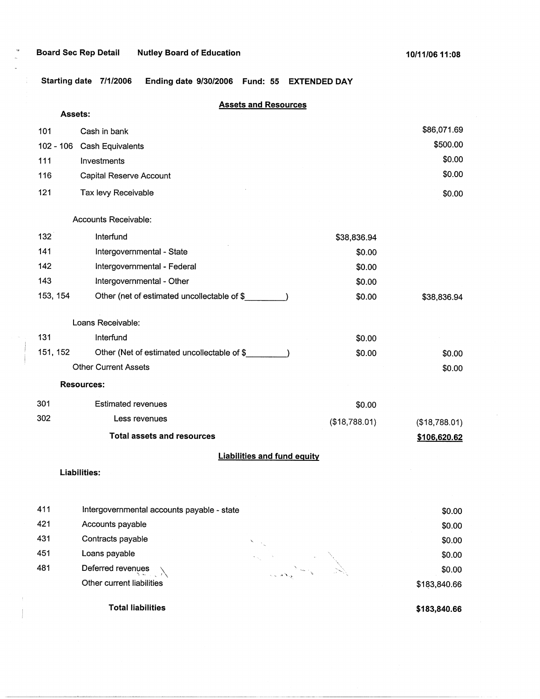**Starting date 7/1/2006 Ending date 9/30/2006 Fund: 55 EXTENDED DAY** 

# **Assets and Resources**

| Assets:                            |                                             |               |               |  |
|------------------------------------|---------------------------------------------|---------------|---------------|--|
| 101                                | Cash in bank                                |               | \$86,071.69   |  |
| $102 - 106$                        | Cash Equivalents                            |               | \$500.00      |  |
| 111                                | Investments                                 |               | \$0.00        |  |
| 116                                | Capital Reserve Account                     |               | \$0.00        |  |
| 121                                | Tax levy Receivable                         |               | \$0.00        |  |
|                                    | Accounts Receivable:                        |               |               |  |
| 132                                | Interfund                                   | \$38,836.94   |               |  |
| 141                                | Intergovernmental - State                   | \$0.00        |               |  |
| 142                                | Intergovernmental - Federal                 | \$0.00        |               |  |
| 143                                | Intergovernmental - Other                   | \$0.00        |               |  |
| 153, 154                           | Other (net of estimated uncollectable of \$ | \$0.00        | \$38,836.94   |  |
|                                    | Loans Receivable:                           |               |               |  |
| 131                                | Interfund                                   | \$0.00        |               |  |
| 151, 152                           | Other (Net of estimated uncollectable of \$ | \$0.00        | \$0.00        |  |
|                                    | <b>Other Current Assets</b>                 |               | \$0.00        |  |
|                                    | <b>Resources:</b>                           |               |               |  |
| 301                                | <b>Estimated revenues</b>                   | \$0.00        |               |  |
| 302                                | Less revenues                               | (\$18,788.01) | (\$18,788.01) |  |
|                                    | <b>Total assets and resources</b>           |               | \$106,620.62  |  |
| <b>Liabilities and fund equity</b> |                                             |               |               |  |
| <b>Liabilities:</b>                |                                             |               |               |  |
| 411                                | Intergovernmental accounts payable - state  |               | \$0.00        |  |

| 421 | Accounts payable          |                                                                                                                                                                                                                        | \$0.00       |
|-----|---------------------------|------------------------------------------------------------------------------------------------------------------------------------------------------------------------------------------------------------------------|--------------|
| 431 | Contracts payable         |                                                                                                                                                                                                                        | \$0.00       |
| 451 | Loans payable             | $\gamma_{\rm{max}}$                                                                                                                                                                                                    | \$0.00       |
| 481 | Deferred revenues         | لا است الحمود العام العام العام العام العام العام العام العام العام العام العام العام العام العام ال<br>منابع العام العام العام العام العام العام العام العام العام العام العام العام العام العام العام العام العام ال | \$0.00       |
|     | Other current liabilities |                                                                                                                                                                                                                        | \$183,840.66 |
|     | <b>Total liabilities</b>  |                                                                                                                                                                                                                        | \$183,840.66 |